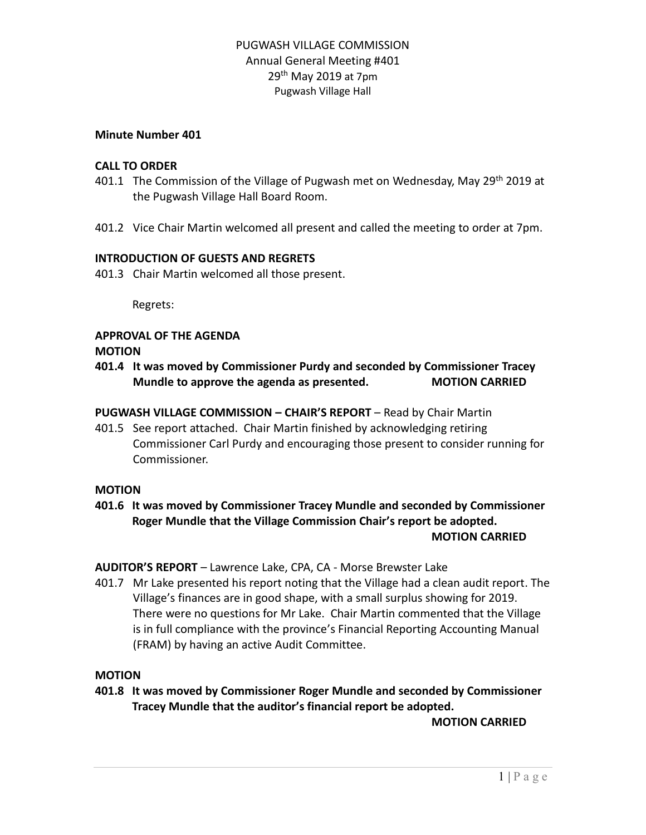#### **Minute Number 401**

#### **CALL TO ORDER**

- 401.1 The Commission of the Village of Pugwash met on Wednesday, May 29<sup>th</sup> 2019 at the Pugwash Village Hall Board Room.
- 401.2 Vice Chair Martin welcomed all present and called the meeting to order at 7pm.

#### **INTRODUCTION OF GUESTS AND REGRETS**

401.3 Chair Martin welcomed all those present.

Regrets:

### **APPROVAL OF THE AGENDA**

#### **MOTION**

**401.4 It was moved by Commissioner Purdy and seconded by Commissioner Tracey Mundle to approve the agenda as presented. MOTION CARRIED**

#### **PUGWASH VILLAGE COMMISSION – CHAIR'S REPORT** – Read by Chair Martin

401.5 See report attached. Chair Martin finished by acknowledging retiring Commissioner Carl Purdy and encouraging those present to consider running for Commissioner.

#### **MOTION**

**401.6 It was moved by Commissioner Tracey Mundle and seconded by Commissioner Roger Mundle that the Village Commission Chair's report be adopted. MOTION CARRIED**

**AUDITOR'S REPORT** – Lawrence Lake, CPA, CA - Morse Brewster Lake

401.7 Mr Lake presented his report noting that the Village had a clean audit report. The Village's finances are in good shape, with a small surplus showing for 2019. There were no questions for Mr Lake. Chair Martin commented that the Village is in full compliance with the province's Financial Reporting Accounting Manual (FRAM) by having an active Audit Committee.

#### **MOTION**

**401.8 It was moved by Commissioner Roger Mundle and seconded by Commissioner Tracey Mundle that the auditor's financial report be adopted.**

**MOTION CARRIED**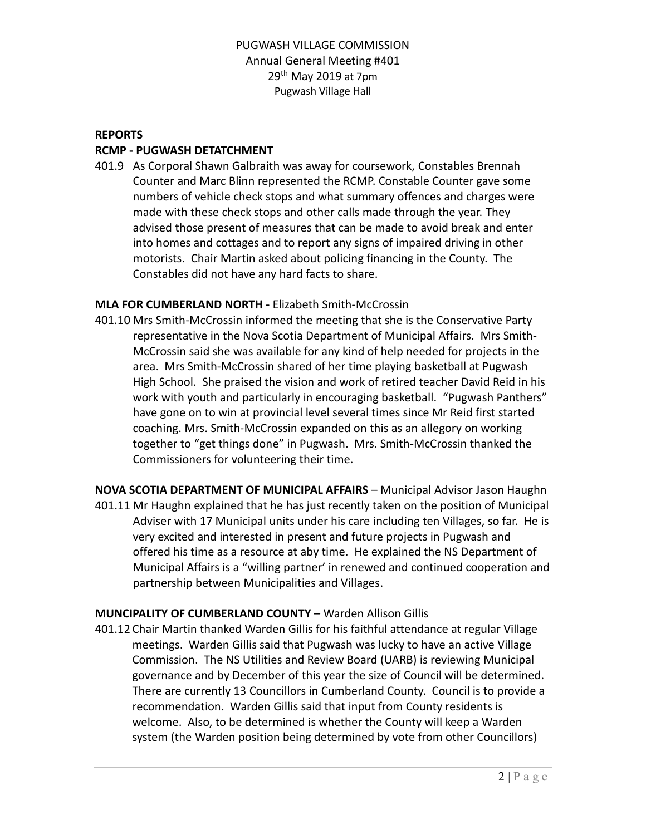### **REPORTS**

### **RCMP - PUGWASH DETATCHMENT**

401.9 As Corporal Shawn Galbraith was away for coursework, Constables Brennah Counter and Marc Blinn represented the RCMP. Constable Counter gave some numbers of vehicle check stops and what summary offences and charges were made with these check stops and other calls made through the year. They advised those present of measures that can be made to avoid break and enter into homes and cottages and to report any signs of impaired driving in other motorists. Chair Martin asked about policing financing in the County. The Constables did not have any hard facts to share.

### **MLA FOR CUMBERLAND NORTH -** Elizabeth Smith-McCrossin

- 401.10 Mrs Smith-McCrossin informed the meeting that she is the Conservative Party representative in the Nova Scotia Department of Municipal Affairs. Mrs Smith-McCrossin said she was available for any kind of help needed for projects in the area. Mrs Smith-McCrossin shared of her time playing basketball at Pugwash High School. She praised the vision and work of retired teacher David Reid in his work with youth and particularly in encouraging basketball. "Pugwash Panthers" have gone on to win at provincial level several times since Mr Reid first started coaching. Mrs. Smith-McCrossin expanded on this as an allegory on working together to "get things done" in Pugwash. Mrs. Smith-McCrossin thanked the Commissioners for volunteering their time.
- **NOVA SCOTIA DEPARTMENT OF MUNICIPAL AFFAIRS** Municipal Advisor Jason Haughn 401.11 Mr Haughn explained that he has just recently taken on the position of Municipal Adviser with 17 Municipal units under his care including ten Villages, so far. He is very excited and interested in present and future projects in Pugwash and offered his time as a resource at aby time. He explained the NS Department of Municipal Affairs is a "willing partner' in renewed and continued cooperation and partnership between Municipalities and Villages.

#### **MUNCIPALITY OF CUMBERLAND COUNTY** – Warden Allison Gillis

401.12 Chair Martin thanked Warden Gillis for his faithful attendance at regular Village meetings. Warden Gillis said that Pugwash was lucky to have an active Village Commission. The NS Utilities and Review Board (UARB) is reviewing Municipal governance and by December of this year the size of Council will be determined. There are currently 13 Councillors in Cumberland County. Council is to provide a recommendation. Warden Gillis said that input from County residents is welcome. Also, to be determined is whether the County will keep a Warden system (the Warden position being determined by vote from other Councillors)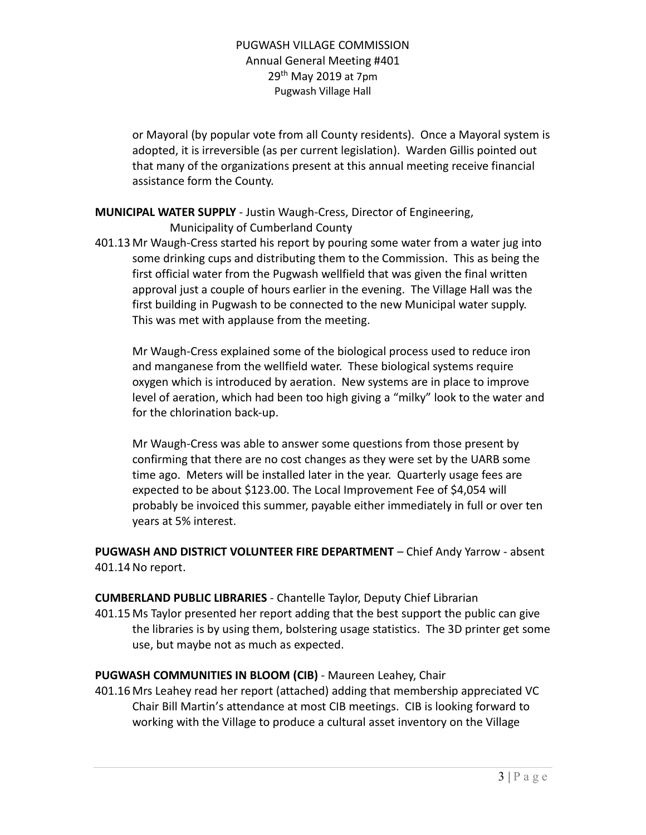or Mayoral (by popular vote from all County residents). Once a Mayoral system is adopted, it is irreversible (as per current legislation). Warden Gillis pointed out that many of the organizations present at this annual meeting receive financial assistance form the County.

# **MUNICIPAL WATER SUPPLY** - Justin Waugh-Cress, Director of Engineering, Municipality of Cumberland County

401.13 Mr Waugh-Cress started his report by pouring some water from a water jug into some drinking cups and distributing them to the Commission. This as being the first official water from the Pugwash wellfield that was given the final written approval just a couple of hours earlier in the evening. The Village Hall was the first building in Pugwash to be connected to the new Municipal water supply. This was met with applause from the meeting.

Mr Waugh-Cress explained some of the biological process used to reduce iron and manganese from the wellfield water. These biological systems require oxygen which is introduced by aeration. New systems are in place to improve level of aeration, which had been too high giving a "milky" look to the water and for the chlorination back-up.

Mr Waugh-Cress was able to answer some questions from those present by confirming that there are no cost changes as they were set by the UARB some time ago. Meters will be installed later in the year. Quarterly usage fees are expected to be about \$123.00. The Local Improvement Fee of \$4,054 will probably be invoiced this summer, payable either immediately in full or over ten years at 5% interest.

**PUGWASH AND DISTRICT VOLUNTEER FIRE DEPARTMENT** – Chief Andy Yarrow - absent 401.14No report.

**CUMBERLAND PUBLIC LIBRARIES** - Chantelle Taylor, Deputy Chief Librarian 401.15 Ms Taylor presented her report adding that the best support the public can give the libraries is by using them, bolstering usage statistics. The 3D printer get some use, but maybe not as much as expected.

# **PUGWASH COMMUNITIES IN BLOOM (CIB)** - Maureen Leahey, Chair

401.16 Mrs Leahey read her report (attached) adding that membership appreciated VC Chair Bill Martin's attendance at most CIB meetings. CIB is looking forward to working with the Village to produce a cultural asset inventory on the Village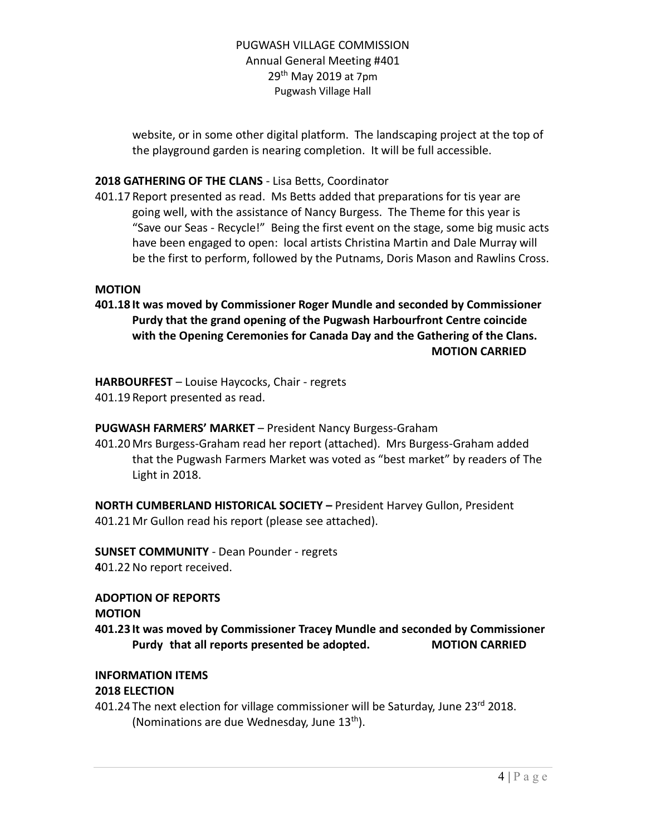website, or in some other digital platform. The landscaping project at the top of the playground garden is nearing completion. It will be full accessible.

### **2018 GATHERING OF THE CLANS** - Lisa Betts, Coordinator

401.17 Report presented as read. Ms Betts added that preparations for tis year are going well, with the assistance of Nancy Burgess. The Theme for this year is "Save our Seas - Recycle!" Being the first event on the stage, some big music acts have been engaged to open: local artists Christina Martin and Dale Murray will be the first to perform, followed by the Putnams, Doris Mason and Rawlins Cross.

#### **MOTION**

**401.18 It was moved by Commissioner Roger Mundle and seconded by Commissioner Purdy that the grand opening of the Pugwash Harbourfront Centre coincide with the Opening Ceremonies for Canada Day and the Gathering of the Clans. MOTION CARRIED**

**HARBOURFEST** – Louise Haycocks, Chair - regrets 401.19 Report presented as read.

# **PUGWASH FARMERS' MARKET** – President Nancy Burgess-Graham

401.20 Mrs Burgess-Graham read her report (attached). Mrs Burgess-Graham added that the Pugwash Farmers Market was voted as "best market" by readers of The Light in 2018.

**NORTH CUMBERLAND HISTORICAL SOCIETY –** President Harvey Gullon, President 401.21 Mr Gullon read his report (please see attached).

**SUNSET COMMUNITY** - Dean Pounder - regrets **4**01.22No report received.

#### **ADOPTION OF REPORTS**

#### **MOTION**

**401.23 It was moved by Commissioner Tracey Mundle and seconded by Commissioner Purdy that all reports presented be adopted. MOTION CARRIED**

# **INFORMATION ITEMS**

#### **2018 ELECTION**

401.24 The next election for village commissioner will be Saturday, June 23rd 2018. (Nominations are due Wednesday, June 13<sup>th</sup>).